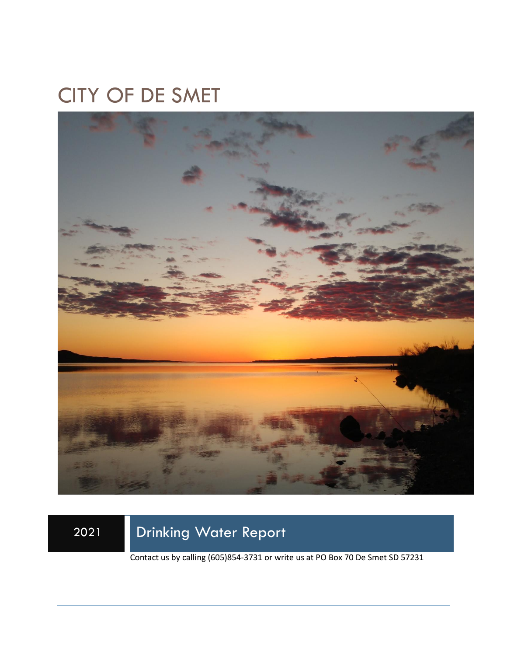# CITY OF DE SMET



2021 Drinking Water Report

Contact us by calling (605)854-3731 or write us at PO Box 70 De Smet SD 57231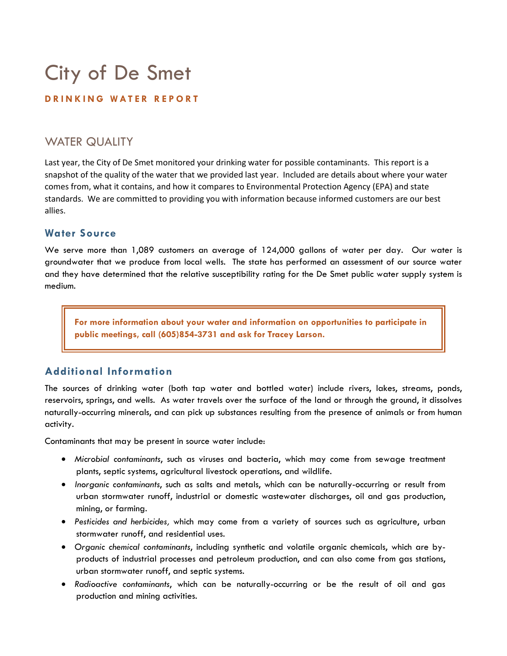# City of De Smet

### **D R I N K I N G W A T E R R E P O R T**

# WATER QUALITY

Last year, the City of De Smet monitored your drinking water for possible contaminants. This report is a snapshot of the quality of the water that we provided last year. Included are details about where your water comes from, what it contains, and how it compares to Environmental Protection Agency (EPA) and state standards. We are committed to providing you with information because informed customers are our best allies.

## **Water Source**

We serve more than 1,089 customers an average of 124,000 gallons of water per day. Our water is groundwater that we produce from local wells. The state has performed an assessment of our source water and they have determined that the relative susceptibility rating for the De Smet public water supply system is medium.

**For more information about your water and information on opportunities to participate in public meetings, call (605)854-3731 and ask for Tracey Larson.**

## **Additional Information**

The sources of drinking water (both tap water and bottled water) include rivers, lakes, streams, ponds, reservoirs, springs, and wells. As water travels over the surface of the land or through the ground, it dissolves naturally-occurring minerals, and can pick up substances resulting from the presence of animals or from human activity.

Contaminants that may be present in source water include:

- *Microbial contaminants*, such as viruses and bacteria, which may come from sewage treatment plants, septic systems, agricultural livestock operations, and wildlife.
- *Inorganic contaminants*, such as salts and metals, which can be naturally-occurring or result from urban stormwater runoff, industrial or domestic wastewater discharges, oil and gas production, mining, or farming.
- *Pesticides and herbicides,* which may come from a variety of sources such as agriculture, urban stormwater runoff, and residential uses.
- *Organic chemical contaminants*, including synthetic and volatile organic chemicals, which are byproducts of industrial processes and petroleum production, and can also come from gas stations, urban stormwater runoff, and septic systems.
- *Radioactive contaminants*, which can be naturally-occurring or be the result of oil and gas production and mining activities.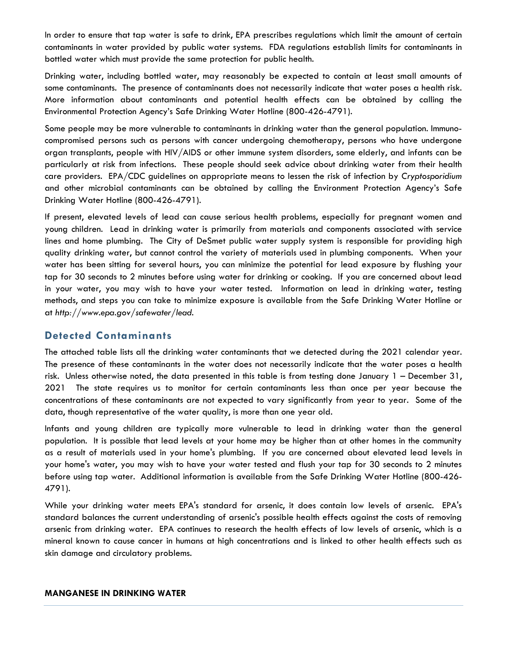In order to ensure that tap water is safe to drink, EPA prescribes regulations which limit the amount of certain contaminants in water provided by public water systems. FDA regulations establish limits for contaminants in bottled water which must provide the same protection for public health.

Drinking water, including bottled water, may reasonably be expected to contain at least small amounts of some contaminants. The presence of contaminants does not necessarily indicate that water poses a health risk. More information about contaminants and potential health effects can be obtained by calling the Environmental Protection Agency's Safe Drinking Water Hotline (800-426-4791).

Some people may be more vulnerable to contaminants in drinking water than the general population. Immunocompromised persons such as persons with cancer undergoing chemotherapy, persons who have undergone organ transplants, people with HIV/AIDS or other immune system disorders, some elderly, and infants can be particularly at risk from infections. These people should seek advice about drinking water from their health care providers. EPA/CDC guidelines on appropriate means to lessen the risk of infection by *Cryptosporidium* and other microbial contaminants can be obtained by calling the Environment Protection Agency's Safe Drinking Water Hotline (800-426-4791).

If present, elevated levels of lead can cause serious health problems, especially for pregnant women and young children. Lead in drinking water is primarily from materials and components associated with service lines and home plumbing. The City of DeSmet public water supply system is responsible for providing high quality drinking water, but cannot control the variety of materials used in plumbing components. When your water has been sitting for several hours, you can minimize the potential for lead exposure by flushing your tap for 30 seconds to 2 minutes before using water for drinking or cooking. If you are concerned about lead in your water, you may wish to have your water tested. Information on lead in drinking water, testing methods, and steps you can take to minimize exposure is available from the Safe Drinking Water Hotline or at *http://www.epa.gov/safewater/lead*.

## **Detected Contaminants**

The attached table lists all the drinking water contaminants that we detected during the 2021 calendar year. The presence of these contaminants in the water does not necessarily indicate that the water poses a health risk. Unless otherwise noted, the data presented in this table is from testing done January 1 – December 31, 2021 The state requires us to monitor for certain contaminants less than once per year because the concentrations of these contaminants are not expected to vary significantly from year to year. Some of the data, though representative of the water quality, is more than one year old.

Infants and young children are typically more vulnerable to lead in drinking water than the general population. It is possible that lead levels at your home may be higher than at other homes in the community as a result of materials used in your home's plumbing. If you are concerned about elevated lead levels in your home's water, you may wish to have your water tested and flush your tap for 30 seconds to 2 minutes before using tap water. Additional information is available from the Safe Drinking Water Hotline (800-426- 4791).

While your drinking water meets EPA's standard for arsenic, it does contain low levels of arsenic. EPA's standard balances the current understanding of arsenic's possible health effects against the costs of removing arsenic from drinking water. EPA continues to research the health effects of low levels of arsenic, which is a mineral known to cause cancer in humans at high concentrations and is linked to other health effects such as skin damage and circulatory problems.

#### **MANGANESE IN DRINKING WATER**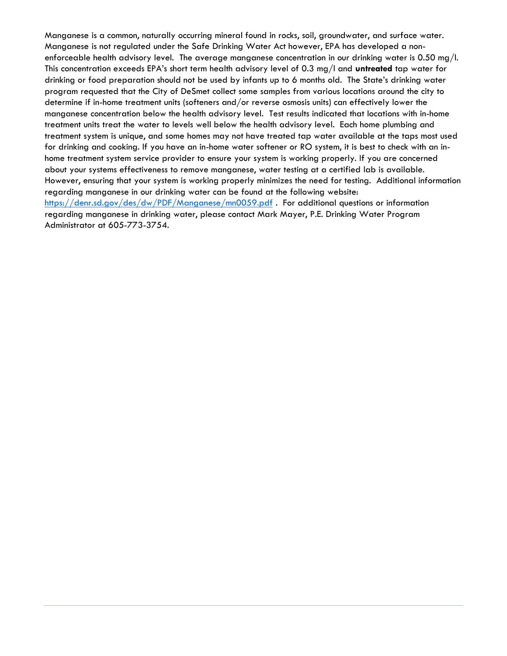Manganese is a common, naturally occurring mineral found in rocks, soil, groundwater, and surface water. Manganese is not regulated under the Safe Drinking Water Act however, EPA has developed a nonenforceable health advisory level. The average manganese concentration in our drinking water is 0.50 mg/l. This concentration exceeds EPA's short term health advisory level of 0.3 mg/l and **untreated** tap water for drinking or food preparation should not be used by infants up to 6 months old. The State's drinking water program requested that the City of DeSmet collect some samples from various locations around the city to determine if in-home treatment units (softeners and/or reverse osmosis units) can effectively lower the manganese concentration below the health advisory level. Test results indicated that locations with in-home treatment units treat the water to levels well below the health advisory level. Each home plumbing and treatment system is unique, and some homes may not have treated tap water available at the taps most used for drinking and cooking. If you have an in-home water softener or RO system, it is best to check with an inhome treatment system service provider to ensure your system is working properly. If you are concerned about your systems effectiveness to remove manganese, water testing at a certified lab is available. However, ensuring that your system is working properly minimizes the need for testing. Additional information regarding manganese in our drinking water can be found at the following website: <https://denr.sd.gov/des/dw/PDF/Manganese/mn0059.pdf> . For additional questions or information regarding manganese in drinking water, please contact Mark Mayer, P.E. Drinking Water Program Administrator at 605-773-3754.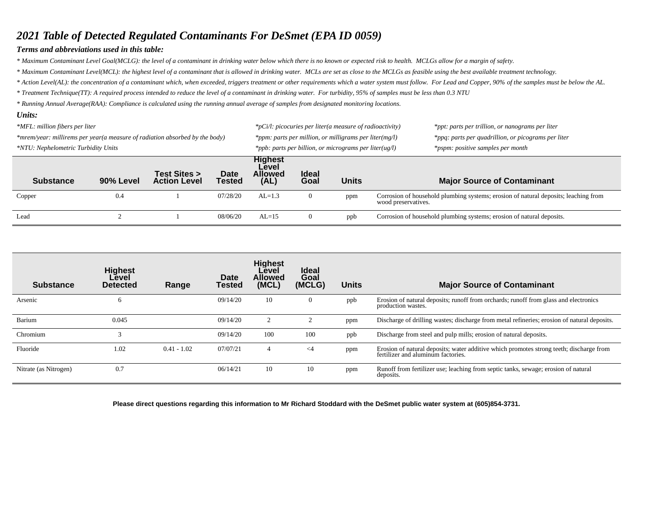## *2021 Table of Detected Regulated Contaminants For DeSmet (EPA ID 0059)*

#### *Terms and abbreviations used in this table:*

*\* Maximum Contaminant Level Goal(MCLG): the level of a contaminant in drinking water below which there is no known or expected risk to health. MCLGs allow for a margin of safety.*

*\* Maximum Contaminant Level(MCL): the highest level of a contaminant that is allowed in drinking water. MCLs are set as close to the MCLGs as feasible using the best available treatment technology.*

*\* Action Level(AL): the concentration of a contaminant which, when exceeded, triggers treatment or other requirements which a water system must follow. For Lead and Copper, 90% of the samples must be below the AL.*

*\* Treatment Technique(TT): A required process intended to reduce the level of a contaminant in drinking water. For turbidity, 95% of samples must be less than 0.3 NTU*

*\* Running Annual Average(RAA): Compliance is calculated using the running annual average of samples from designated monitoring locations.* 

#### *Units:*

| *MFL: million fibers per liter<br>*mrem/year: millirems per year(a measure of radiation absorbed by the body)<br>*NTU: Nephelometric Turbidity Units |           |                                     |                       |                                                   | *pCi/l: picocuries per liter(a measure of radioactivity)<br>*ppm: parts per million, or milligrams per liter(mg/l)<br>*ppb: parts per billion, or micrograms per liter(ug/l) |              | *ppt: parts per trillion, or nanograms per liter<br>*ppq: parts per quadrillion, or picograms per liter<br>*pspm: positive samples per month |  |
|------------------------------------------------------------------------------------------------------------------------------------------------------|-----------|-------------------------------------|-----------------------|---------------------------------------------------|------------------------------------------------------------------------------------------------------------------------------------------------------------------------------|--------------|----------------------------------------------------------------------------------------------------------------------------------------------|--|
| <b>Substance</b>                                                                                                                                     | 90% Level | Test Sites ><br><b>Action Level</b> | Date<br><b>Tested</b> | <b>Highest</b><br>Level<br><b>Allowed</b><br>(AL) | <b>Ideal</b><br>Goal                                                                                                                                                         | <b>Units</b> | <b>Major Source of Contaminant</b>                                                                                                           |  |
| Copper                                                                                                                                               | 0.4       |                                     | 07/28/20              | $AL=1.3$                                          | -0                                                                                                                                                                           | ppm          | Corrosion of household plumbing systems; erosion of natural deposits; leaching from<br>wood preservatives.                                   |  |
| Lead                                                                                                                                                 |           |                                     | 08/06/20              | $AL=15$                                           |                                                                                                                                                                              | ppb          | Corrosion of household plumbing systems; erosion of natural deposits.                                                                        |  |

| <b>Substance</b>      | <b>Highest</b><br>Level<br><b>Detected</b> | Range         | Date<br><b>Tested</b> | <b>Highest</b><br>Level<br><b>Allowed</b><br>(MCL) | <b>Ideal</b><br>Goal<br>(MCLG) | <b>Units</b> | <b>Major Source of Contaminant</b>                                                                                            |
|-----------------------|--------------------------------------------|---------------|-----------------------|----------------------------------------------------|--------------------------------|--------------|-------------------------------------------------------------------------------------------------------------------------------|
| Arsenic               | <sub>0</sub>                               |               | 09/14/20              | 10                                                 | $\theta$                       | ppb          | Erosion of natural deposits; runoff from orchards; runoff from glass and electronics<br>production wastes.                    |
| Barium                | 0.045                                      |               | 09/14/20              |                                                    | $\sim$                         | ppm          | Discharge of drilling wastes; discharge from metal refineries; erosion of natural deposits.                                   |
| Chromium              |                                            |               | 09/14/20              | 100                                                | 100                            | ppb          | Discharge from steel and pulp mills; erosion of natural deposits.                                                             |
| Fluoride              | 1.02                                       | $0.41 - 1.02$ | 07/07/21              | 4                                                  | $\leq$ 4                       | ppm          | Erosion of natural deposits; water additive which promotes strong teeth; discharge from<br>fertilizer and aluminum factories. |
| Nitrate (as Nitrogen) | 0.7                                        |               | 06/14/21              | 10                                                 | 10                             | ppm          | Runoff from fertilizer use; leaching from septic tanks, sewage; erosion of natural<br>deposits.                               |

**Please direct questions regarding this information to Mr Richard Stoddard with the DeSmet public water system at (605)854-3731.**